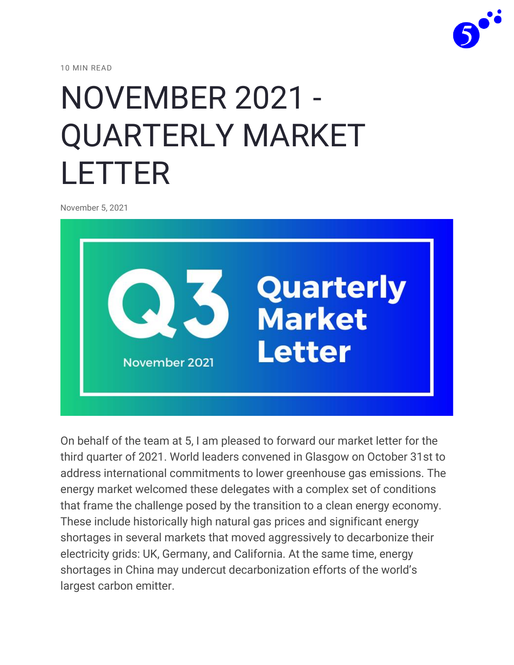

10 MIN READ

# [NOVEMBER 2021 -](https://www.energyby5.com/november-2021-quarterly-market-letter) [QUARTERLY MARKET](https://www.energyby5.com/november-2021-quarterly-market-letter)  [LETTER](https://www.energyby5.com/november-2021-quarterly-market-letter)

November 5, 2021



On behalf of the team at 5, I am pleased to forward our market letter for the third quarter of 2021. World leaders convened in Glasgow on October 31st to address international commitments to lower greenhouse gas emissions. The energy market welcomed these delegates with a complex set of conditions that frame the challenge posed by the transition to a clean energy economy. These include historically high natural gas prices and significant energy shortages in several markets that moved aggressively to decarbonize their electricity grids: UK, Germany, and California. At the same time, energy shortages in China may undercut decarbonization efforts of the world's largest carbon emitter.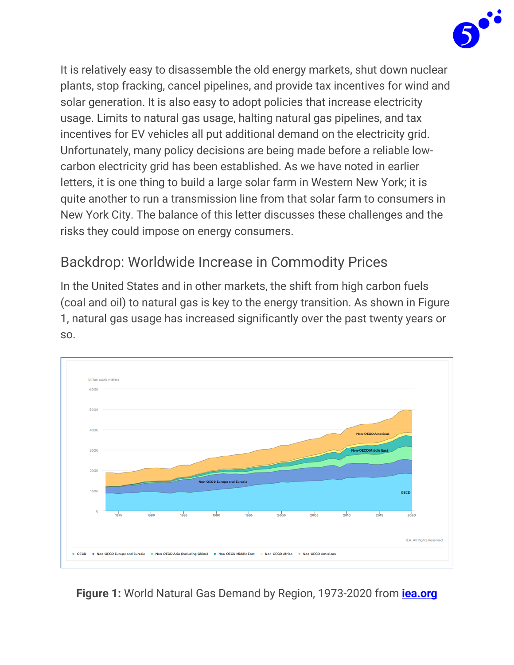

It is relatively easy to disassemble the old energy markets, shut down nuclear plants, stop fracking, cancel pipelines, and provide tax incentives for wind and solar generation. It is also easy to adopt policies that increase electricity usage. Limits to natural gas usage, halting natural gas pipelines, and tax incentives for EV vehicles all put additional demand on the electricity grid. Unfortunately, many policy decisions are being made before a reliable lowcarbon electricity grid has been established. As we have noted in earlier letters, it is one thing to build a large solar farm in Western New York; it is quite another to run a transmission line from that solar farm to consumers in New York City. The balance of this letter discusses these challenges and the risks they could impose on energy consumers.

#### Backdrop: Worldwide Increase in Commodity Prices

In the United States and in other markets, the shift from high carbon fuels (coal and oil) to natural gas is key to the energy transition. As shown in Figure 1, natural gas usage has increased significantly over the past twenty years or so.



**Figure 1:** World Natural Gas Demand by Region, 1973-2020 from **[iea.org](https://www.iea.org/data-and-statistics/charts/world-natural-gas-demand-by-region-1973-2020)**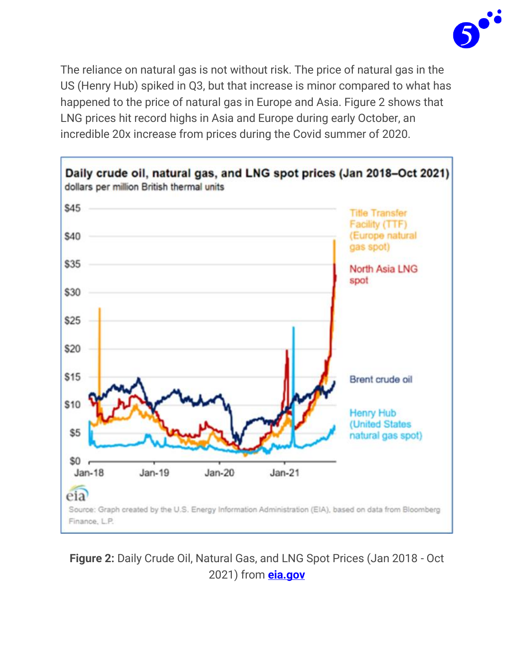

The reliance on natural gas is not without risk. The price of natural gas in the US (Henry Hub) spiked in Q3, but that increase is minor compared to what has happened to the price of natural gas in Europe and Asia. Figure 2 shows that LNG prices hit record highs in Asia and Europe during early October, an incredible 20x increase from prices during the Covid summer of 2020.



**Figure 2:** Daily Crude Oil, Natural Gas, and LNG Spot Prices (Jan 2018 - Oct 2021) from **[eia.gov](https://www.eia.gov/naturalgas/weekly/archivenew_ngwu/2021/10_21/)**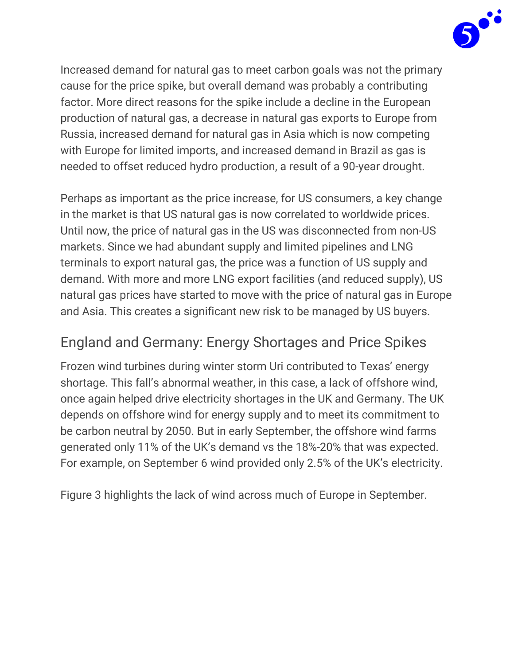

Increased demand for natural gas to meet carbon goals was not the primary cause for the price spike, but overall demand was probably a contributing factor. More direct reasons for the spike include a decline in the European production of natural gas, a decrease in natural gas exports to Europe from Russia, increased demand for natural gas in Asia which is now competing with Europe for limited imports, and increased demand in Brazil as gas is needed to offset reduced hydro production, a result of a 90-year drought.

Perhaps as important as the price increase, for US consumers, a key change in the market is that US natural gas is now correlated to worldwide prices. Until now, the price of natural gas in the US was disconnected from non-US markets. Since we had abundant supply and limited pipelines and LNG terminals to export natural gas, the price was a function of US supply and demand. With more and more LNG export facilities (and reduced supply), US natural gas prices have started to move with the price of natural gas in Europe and Asia. This creates a significant new risk to be managed by US buyers.

## England and Germany: Energy Shortages and Price Spikes

Frozen wind turbines during winter storm Uri contributed to Texas' energy shortage. This fall's abnormal weather, in this case, a lack of offshore wind, once again helped drive electricity shortages in the UK and Germany. The UK depends on offshore wind for energy supply and to meet its commitment to be carbon neutral by 2050. But in early September, the offshore wind farms generated only 11% of the UK's demand vs the 18%-20% that was expected. For example, on September 6 wind provided only 2.5% of the UK's electricity.

Figure 3 highlights the lack of wind across much of Europe in September.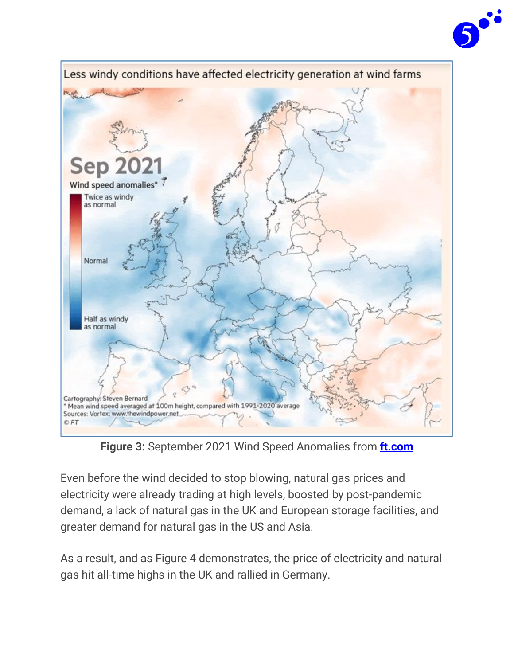



**Figure 3:** September 2021 Wind Speed Anomalies from **[ft.com](https://www.ft.com/content/d53b5843-dbe0-4724-8adf-75c66127ea80)**

Even before the wind decided to stop blowing, natural gas prices and electricity were already trading at high levels, boosted by post-pandemic demand, a lack of natural gas in the UK and European storage facilities, and greater demand for natural gas in the US and Asia.

As a result, and as Figure 4 demonstrates, the price of electricity and natural gas hit all-time highs in the UK and rallied in Germany.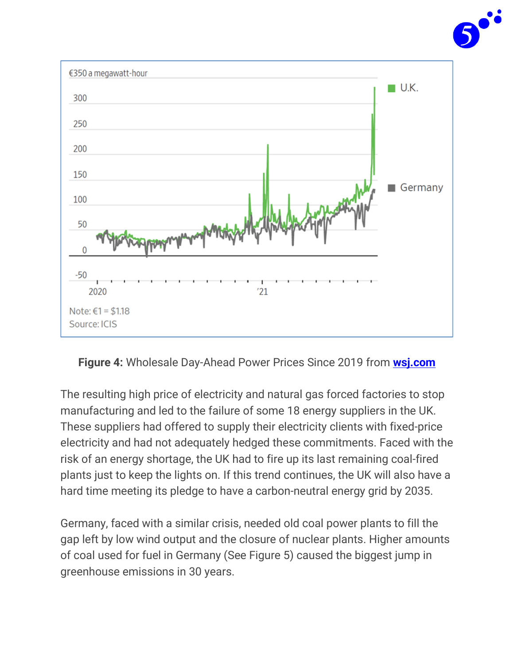



**Figure 4:** Wholesale Day-Ahead Power Prices Since 2019 from **[wsj.com](https://www.wsj.com/articles/energy-prices-in-europe-hit-records-after-wind-stops-blowing-11631528258)**

The resulting high price of electricity and natural gas forced factories to stop manufacturing and led to the failure of some 18 energy suppliers in the UK. These suppliers had offered to supply their electricity clients with fixed-price electricity and had not adequately hedged these commitments. Faced with the risk of an energy shortage, the UK had to fire up its last remaining coal-fired plants just to keep the lights on. If this trend continues, the UK will also have a hard time meeting its pledge to have a carbon-neutral energy grid by 2035.

Germany, faced with a similar crisis, needed old coal power plants to fill the gap left by low wind output and the closure of nuclear plants. Higher amounts of coal used for fuel in Germany (See Figure 5) caused the biggest jump in greenhouse emissions in 30 years.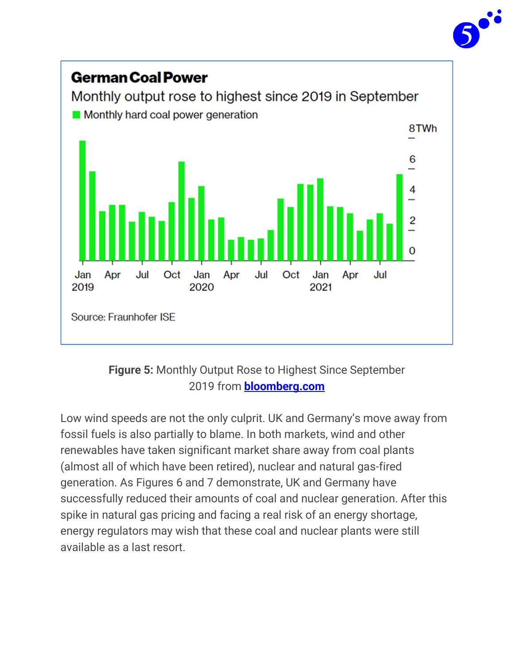



**Figure 5:** Monthly Output Rose to Highest Since September 2019 from **[bloomberg.com](https://www.bloomberg.com/news/articles/2021-10-01/energy-crisis-forces-german-power-plant-to-halt-on-lack-of-coal)**

Low wind speeds are not the only culprit. UK and Germany's move away from fossil fuels is also partially to blame. In both markets, wind and other renewables have taken significant market share away from coal plants (almost all of which have been retired), nuclear and natural gas-fired generation. As Figures 6 and 7 demonstrate, UK and Germany have successfully reduced their amounts of coal and nuclear generation. After this spike in natural gas pricing and facing a real risk of an energy shortage, energy regulators may wish that these coal and nuclear plants were still available as a last resort.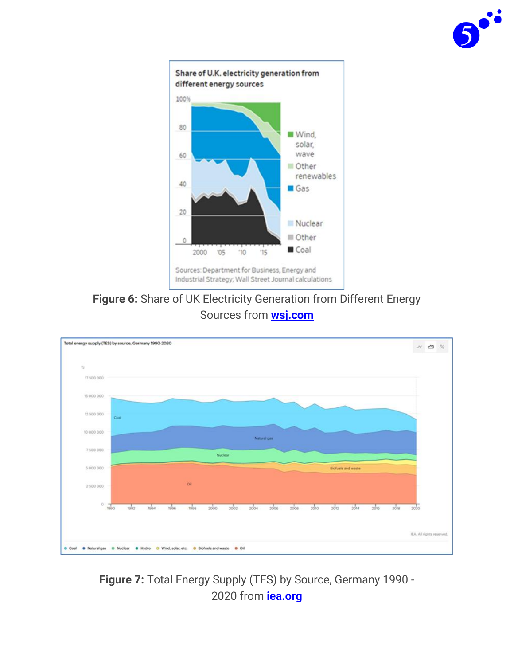



**Figure 6:** Share of UK Electricity Generation from Different Energy Sources from **[wsj.com](https://www.wsj.com/)**



**Figure 7:** Total Energy Supply (TES) by Source, Germany 1990 - 2020 from **[iea.org](https://www.iea.org/countries/germany)**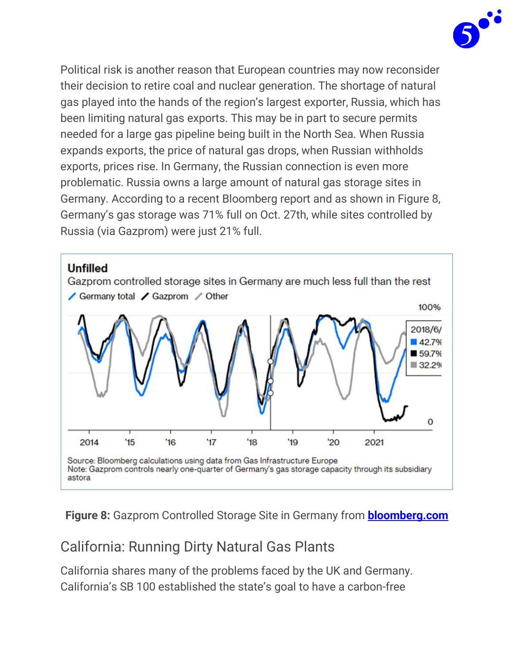

Political risk is another reason that European countries may now reconsider their decision to retire coal and nuclear generation. The shortage of natural gas played into the hands of the region's largest exporter, Russia, which has been limiting natural gas exports. This may be in part to secure permits needed for a large gas pipeline being built in the North Sea. When Russia expands exports, the price of natural gas drops, when Russian withholds exports, prices rise. In Germany, the Russian connection is even more problematic. Russia owns a large amount of natural gas storage sites in Germany. According to a recent Bloomberg report and as shown in Figure 8, Germany's gas storage was 71% full on Oct. 27th, while sites controlled by Russia (via Gazprom) were just 21% full.



**Figure 8:** Gazprom Controlled Storage Site in Germany from **[bloomberg.com](https://www.bloomberg.com/opinion/articles/2021-10-31/russia-is-no-longer-europe-s-reliable-gas-supplier)**

#### California: Running Dirty Natural Gas Plants

California shares many of the problems faced by the UK and Germany. California's SB 100 established the state's goal to have a carbon-free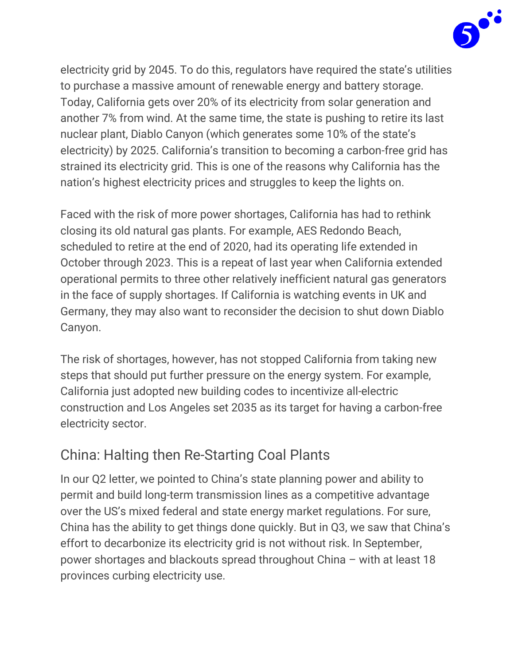

electricity grid by 2045. To do this, regulators have required the state's utilities to purchase a massive amount of renewable energy and battery storage. Today, California gets over 20% of its electricity from solar generation and another 7% from wind. At the same time, the state is pushing to retire its last nuclear plant, Diablo Canyon (which generates some 10% of the state's electricity) by 2025. California's transition to becoming a carbon-free grid has strained its electricity grid. This is one of the reasons why California has the nation's highest electricity prices and struggles to keep the lights on.

Faced with the risk of more power shortages, California has had to rethink closing its old natural gas plants. For example, AES Redondo Beach, scheduled to retire at the end of 2020, had its operating life extended in October through 2023. This is a repeat of last year when California extended operational permits to three other relatively inefficient natural gas generators in the face of supply shortages. If California is watching events in UK and Germany, they may also want to reconsider the decision to shut down Diablo Canyon.

The risk of shortages, however, has not stopped California from taking new steps that should put further pressure on the energy system. For example, California just adopted new building codes to incentivize all-electric construction and Los Angeles set 2035 as its target for having a carbon-free electricity sector.

## China: Halting then Re-Starting Coal Plants

In our Q2 letter, we pointed to China's state planning power and ability to permit and build long-term transmission lines as a competitive advantage over the US's mixed federal and state energy market regulations. For sure, China has the ability to get things done quickly. But in Q3, we saw that China's effort to decarbonize its electricity grid is not without risk. In September, power shortages and blackouts spread throughout China – with at least 18 provinces curbing electricity use.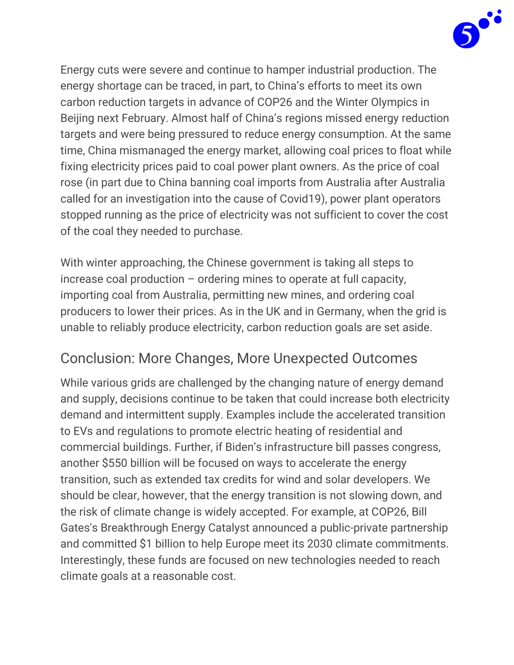

Energy cuts were severe and continue to hamper industrial production. The energy shortage can be traced, in part, to China's efforts to meet its own carbon reduction targets in advance of COP26 and the Winter Olympics in Beijing next February. Almost half of China's regions missed energy reduction targets and were being pressured to reduce energy consumption. At the same time, China mismanaged the energy market, allowing coal prices to float while fixing electricity prices paid to coal power plant owners. As the price of coal rose (in part due to China banning coal imports from Australia after Australia called for an investigation into the cause of Covid19), power plant operators stopped running as the price of electricity was not sufficient to cover the cost of the coal they needed to purchase.

With winter approaching, the Chinese government is taking all steps to increase coal production – ordering mines to operate at full capacity, importing coal from Australia, permitting new mines, and ordering coal producers to lower their prices. As in the UK and in Germany, when the grid is unable to reliably produce electricity, carbon reduction goals are set aside.

#### Conclusion: More Changes, More Unexpected Outcomes

While various grids are challenged by the changing nature of energy demand and supply, decisions continue to be taken that could increase both electricity demand and intermittent supply. Examples include the accelerated transition to EVs and regulations to promote electric heating of residential and commercial buildings. Further, if Biden's infrastructure bill passes congress, another \$550 billion will be focused on ways to accelerate the energy transition, such as extended tax credits for wind and solar developers. We should be clear, however, that the energy transition is not slowing down, and the risk of climate change is widely accepted. For example, at COP26, Bill Gates's Breakthrough Energy Catalyst announced a public-private partnership and committed \$1 billion to help Europe meet its 2030 climate commitments. Interestingly, these funds are focused on new technologies needed to reach climate goals at a reasonable cost.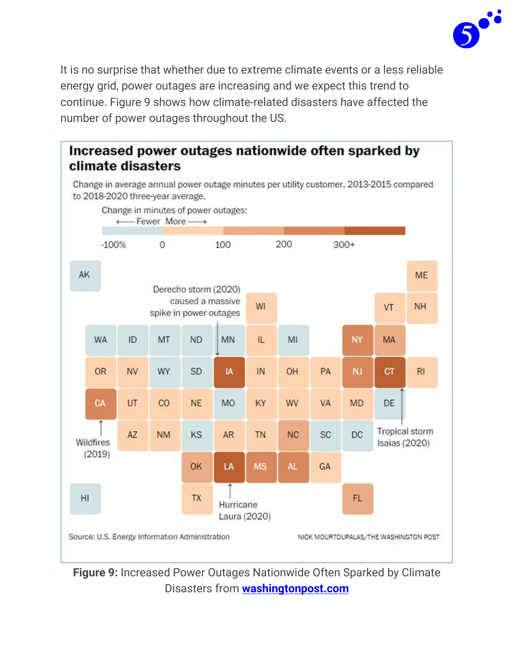

It is no surprise that whether due to extreme climate events or a less reliable energy grid, power outages are increasing and we expect this trend to continue. Figure 9 shows how climate-related disasters have affected the number of power outages throughout the US.



**Figure 9:** Increased Power Outages Nationwide Often Sparked by Climate Disasters from **[washingtonpost.com](https://www.washingtonpost.com/business/2021/10/24/climate-change-power-outages/)**